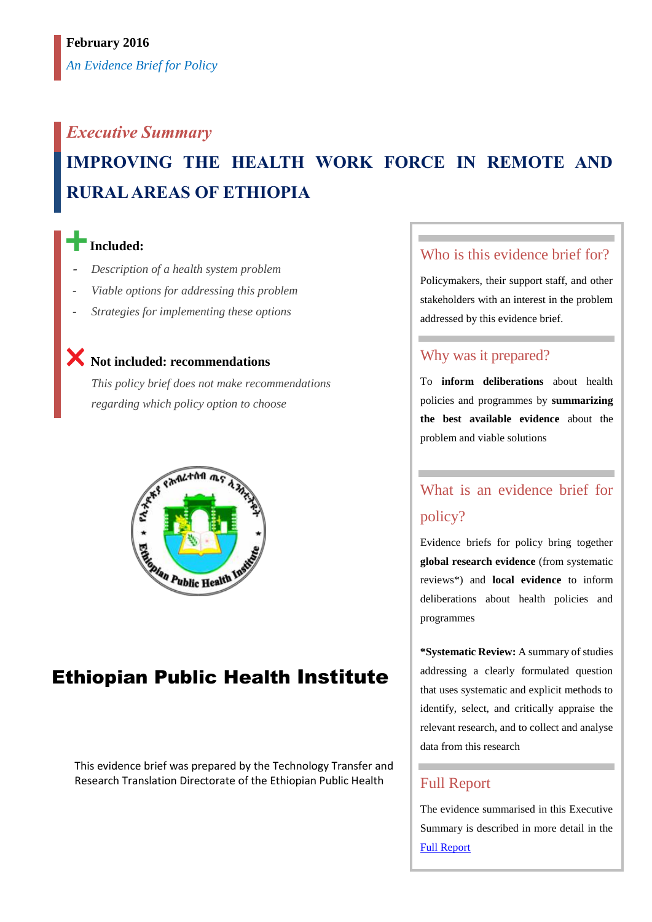# *Executive Summary* **IMPROVING THE HEALTH WORK FORCE IN REMOTE AND RURAL AREAS OF ETHIOPIA**

## **Included:**

- *Description of a health system problem*
- *Viable options for addressing this problem*
- *Strategies for implementing these options*

## **Not included: recommendations**

*This policy brief does not make recommendations regarding which policy option to choose*



## Ethiopian Public Health Institute

This evidence brief was prepared by the Technology Transfer and Research Translation Directorate of the Ethiopian Public Health

### Who is this evidence brief for?

Policymakers, their support staff, and other stakeholders with an interest in the problem addressed by this evidence brief.

#### Why was it prepared?

To **inform deliberations** about health policies and programmes by **summarizing the best available evidence** about the problem and viable solutions

## What is an evidence brief for policy?

Evidence briefs for policy bring together **global research evidence** (from systematic reviews\*) and **local evidence** to inform deliberations about health policies and programmes

**\*Systematic Review:** A summary of studies addressing a clearly formulated question that uses systematic and explicit methods to identify, select, and critically appraise the relevant research, and to collect and analyse data from this research

### Full Report

The evidence summarised in this Executive Summary is described in more detail in the [Full Report](file:///C:/harriet/SURE%20Project/SURE%20program%20of%20work/SURE%20policy%20brief/SURE%20policy%20brief_SBA/work%20SBA/full%20report/Templates%20for%20creating%20new%20Policy%20Briefs/link-to-full-report)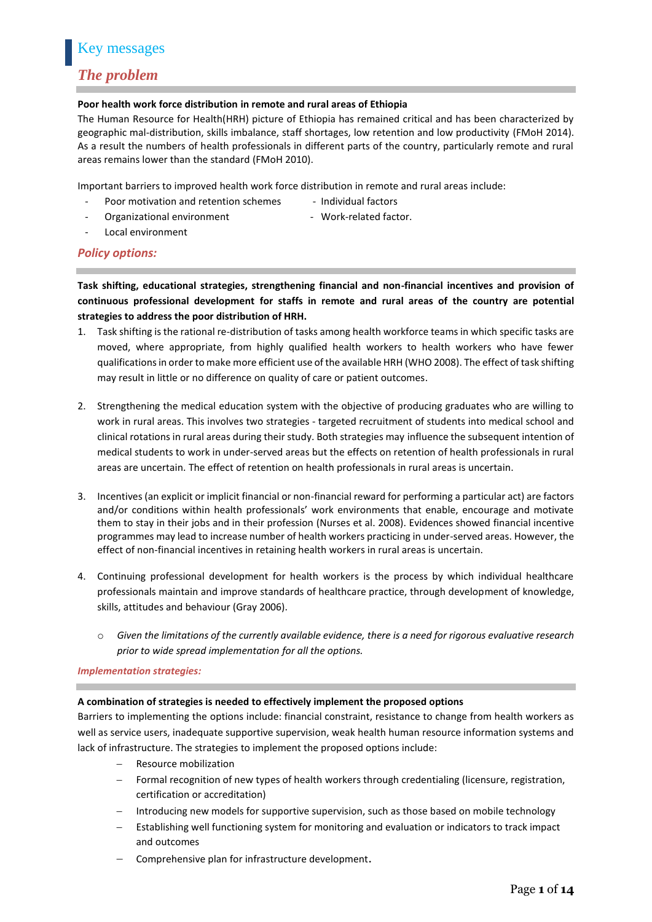#### *The problem*

#### **Poor health work force distribution in remote and rural areas of Ethiopia**

The Human Resource for Health(HRH) picture of Ethiopia has remained critical and has been characterized by geographic mal-distribution, skills imbalance, staff shortages, low retention and low productivity (FMoH 2014). As a result the numbers of health professionals in different parts of the country, particularly remote and rural areas remains lower than the standard (FMoH 2010).

Important barriers to improved health work force distribution in remote and rural areas include:

- Poor motivation and retention schemes Individual factors
	-
- Organizational environment Work-related factor.
- Local environment

#### *Policy options:*

**Task shifting, educational strategies, strengthening financial and non-financial incentives and provision of continuous professional development for staffs in remote and rural areas of the country are potential strategies to address the poor distribution of HRH.**

- 1. Task shifting is the rational re-distribution of tasks among health workforce teams in which specific tasks are moved, where appropriate, from highly qualified health workers to health workers who have fewer qualifications in order to make more efficient use of the available HRH (WHO 2008). The effect of task shifting may result in little or no difference on quality of care or patient outcomes.
- 2. Strengthening the medical education system with the objective of producing graduates who are willing to work in rural areas. This involves two strategies - targeted recruitment of students into medical school and clinical rotations in rural areas during their study. Both strategies may influence the subsequent intention of medical students to work in under-served areas but the effects on retention of health professionals in rural areas are uncertain. The effect of retention on health professionals in rural areas is uncertain.
- 3. Incentives (an explicit or implicit financial or non-financial reward for performing a particular act) are factors and/or conditions within health professionals' work environments that enable, encourage and motivate them to stay in their jobs and in their profession (Nurses et al. 2008). Evidences showed financial incentive programmes may lead to increase number of health workers practicing in under-served areas. However, the effect of non-financial incentives in retaining health workers in rural areas is uncertain.
- 4. Continuing professional development for health workers is the process by which individual healthcare professionals maintain and improve standards of healthcare practice, through development of knowledge, skills, attitudes and behaviour (Gray 2006).
	- o *Given the limitations of the currently available evidence, there is a need for rigorous evaluative research prior to wide spread implementation for all the options.*

#### *Implementation strategies:*

#### **A combination of strategies is needed to effectively implement the proposed options**

Barriers to implementing the options include: financial constraint, resistance to change from health workers as well as service users, inadequate supportive supervision, weak health human resource information systems and lack of infrastructure. The strategies to implement the proposed options include:

- Resource mobilization
- Formal recognition of new types of health workers through credentialing (licensure, registration, certification or accreditation)
- Introducing new models for supportive supervision, such as those based on mobile technology
- Establishing well functioning system for monitoring and evaluation or indicators to track impact and outcomes
- Comprehensive plan for infrastructure development.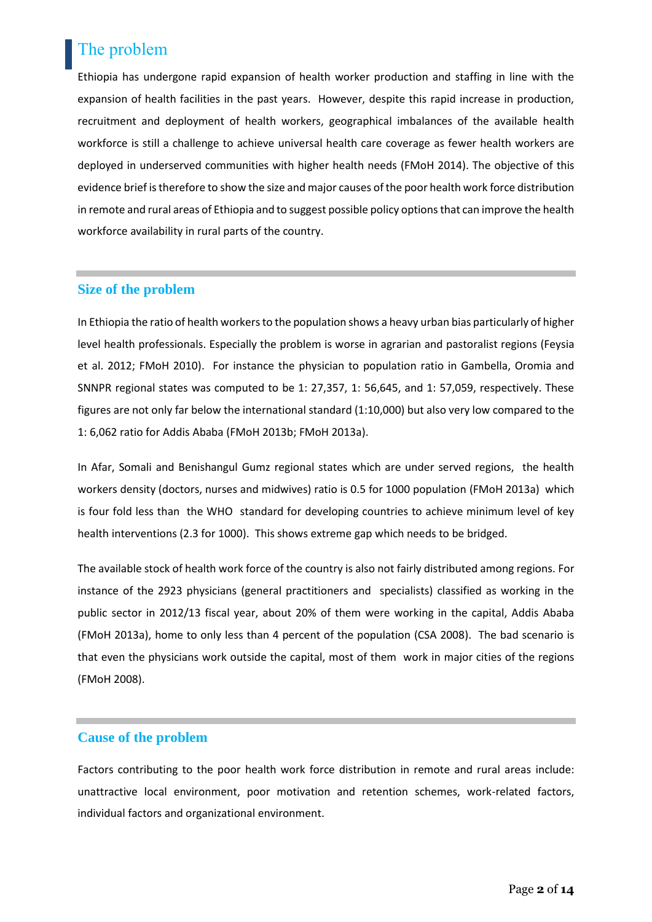## The problem

Ethiopia has undergone rapid expansion of health worker production and staffing in line with the expansion of health facilities in the past years. However, despite this rapid increase in production, recruitment and deployment of health workers, geographical imbalances of the available health workforce is still a challenge to achieve universal health care coverage as fewer health workers are deployed in underserved communities with higher health needs (FMoH 2014). The objective of this evidence brief is therefore to show the size and major causes of the poor health work force distribution in remote and rural areas of Ethiopia and to suggest possible policy options that can improve the health workforce availability in rural parts of the country.

#### **Size of the problem**

In Ethiopia the ratio of health workers to the population shows a heavy urban bias particularly of higher level health professionals. Especially the problem is worse in agrarian and pastoralist regions (Feysia et al. 2012; FMoH 2010). For instance the physician to population ratio in Gambella, Oromia and SNNPR regional states was computed to be 1: 27,357, 1: 56,645, and 1: 57,059, respectively. These figures are not only far below the international standard (1:10,000) but also very low compared to the 1: 6,062 ratio for Addis Ababa (FMoH 2013b; FMoH 2013a).

In Afar, Somali and Benishangul Gumz regional states which are under served regions, the health workers density (doctors, nurses and midwives) ratio is 0.5 for 1000 population (FMoH 2013a) which is four fold less than the WHO standard for developing countries to achieve minimum level of key health interventions (2.3 for 1000). This shows extreme gap which needs to be bridged.

The available stock of health work force of the country is also not fairly distributed among regions. For instance of the 2923 physicians (general practitioners and specialists) classified as working in the public sector in 2012/13 fiscal year, about 20% of them were working in the capital, Addis Ababa (FMoH 2013a), home to only less than 4 percent of the population (CSA 2008). The bad scenario is that even the physicians work outside the capital, most of them work in major cities of the regions (FMoH 2008).

#### **Cause of the problem**

Factors contributing to the poor health work force distribution in remote and rural areas include: unattractive local environment, poor motivation and retention schemes, work-related factors, individual factors and organizational environment.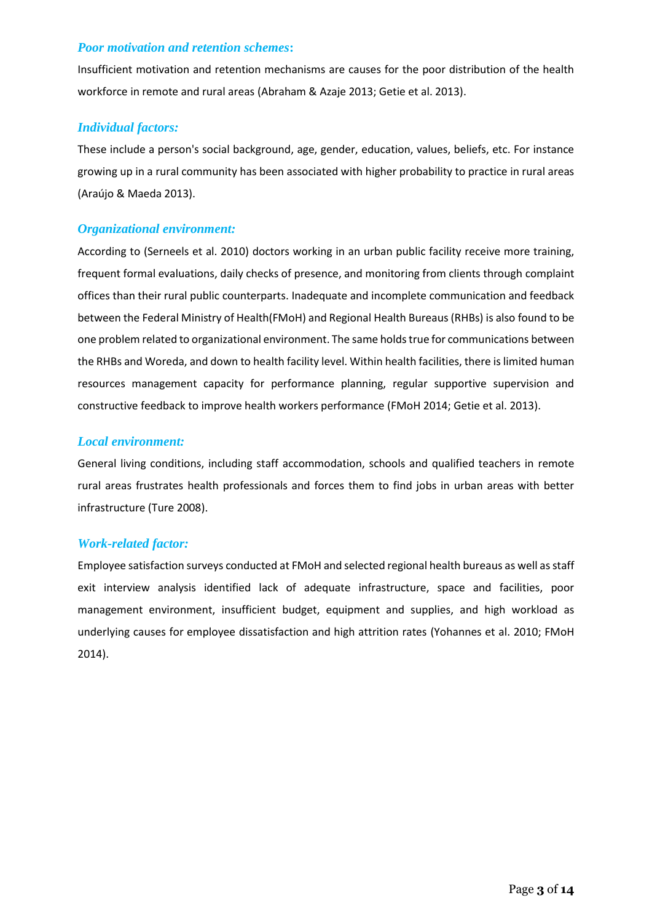#### *Poor motivation and retention schemes***:**

Insufficient motivation and retention mechanisms are causes for the poor distribution of the health workforce in remote and rural areas (Abraham & Azaje 2013; Getie et al. 2013).

#### *Individual factors:*

These include a person's social background, age, gender, education, values, beliefs, etc. For instance growing up in a rural community has been associated with higher probability to practice in rural areas (Araújo & Maeda 2013).

#### *Organizational environment:*

According to (Serneels et al. 2010) doctors working in an urban public facility receive more training, frequent formal evaluations, daily checks of presence, and monitoring from clients through complaint offices than their rural public counterparts. Inadequate and incomplete communication and feedback between the Federal Ministry of Health(FMoH) and Regional Health Bureaus (RHBs) is also found to be one problem related to organizational environment. The same holds true for communications between the RHBs and Woreda, and down to health facility level. Within health facilities, there is limited human resources management capacity for performance planning, regular supportive supervision and constructive feedback to improve health workers performance (FMoH 2014; Getie et al. 2013).

#### *Local environment:*

General living conditions, including staff accommodation, schools and qualified teachers in remote rural areas frustrates health professionals and forces them to find jobs in urban areas with better infrastructure (Ture 2008).

#### *Work-related factor:*

Employee satisfaction surveys conducted at FMoH and selected regional health bureaus as well as staff exit interview analysis identified lack of adequate infrastructure, space and facilities, poor management environment, insufficient budget, equipment and supplies, and high workload as underlying causes for employee dissatisfaction and high attrition rates (Yohannes et al. 2010; FMoH 2014).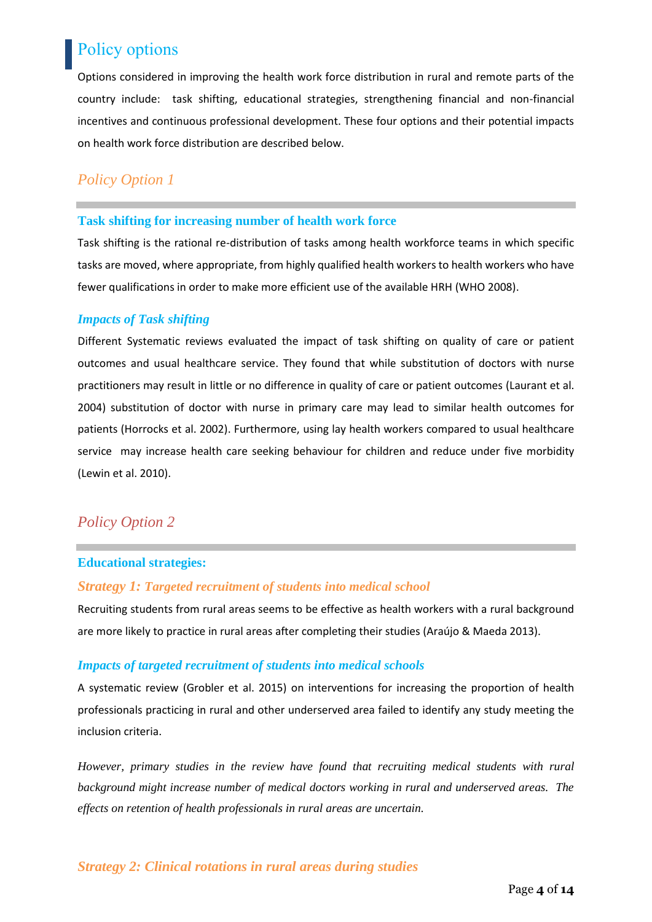## Policy options

Options considered in improving the health work force distribution in rural and remote parts of the country include: task shifting, educational strategies, strengthening financial and non-financial incentives and continuous professional development. These four options and their potential impacts on health work force distribution are described below.

### *Policy Option 1*

#### **Task shifting for increasing number of health work force**

Task shifting is the rational re-distribution of tasks among health workforce teams in which specific tasks are moved, where appropriate, from highly qualified health workers to health workers who have fewer qualifications in order to make more efficient use of the available HRH (WHO 2008).

#### *Impacts of Task shifting*

Different Systematic reviews evaluated the impact of task shifting on quality of care or patient outcomes and usual healthcare service. They found that while substitution of doctors with nurse practitioners may result in little or no difference in quality of care or patient outcomes (Laurant et al. 2004) substitution of doctor with nurse in primary care may lead to similar health outcomes for patients (Horrocks et al. 2002). Furthermore, using lay health workers compared to usual healthcare service may increase health care seeking behaviour for children and reduce under five morbidity (Lewin et al. 2010).

### *Policy Option 2*

#### **Educational strategies:**

#### *Strategy 1: Targeted recruitment of students into medical school*

Recruiting students from rural areas seems to be effective as health workers with a rural background are more likely to practice in rural areas after completing their studies (Araújo & Maeda 2013).

#### *Impacts of targeted recruitment of students into medical schools*

A systematic review (Grobler et al. 2015) on interventions for increasing the proportion of health professionals practicing in rural and other underserved area failed to identify any study meeting the inclusion criteria.

*However, primary studies in the review have found that recruiting medical students with rural background might increase number of medical doctors working in rural and underserved areas. The effects on retention of health professionals in rural areas are uncertain.*

#### *Strategy 2: Clinical rotations in rural areas during studies*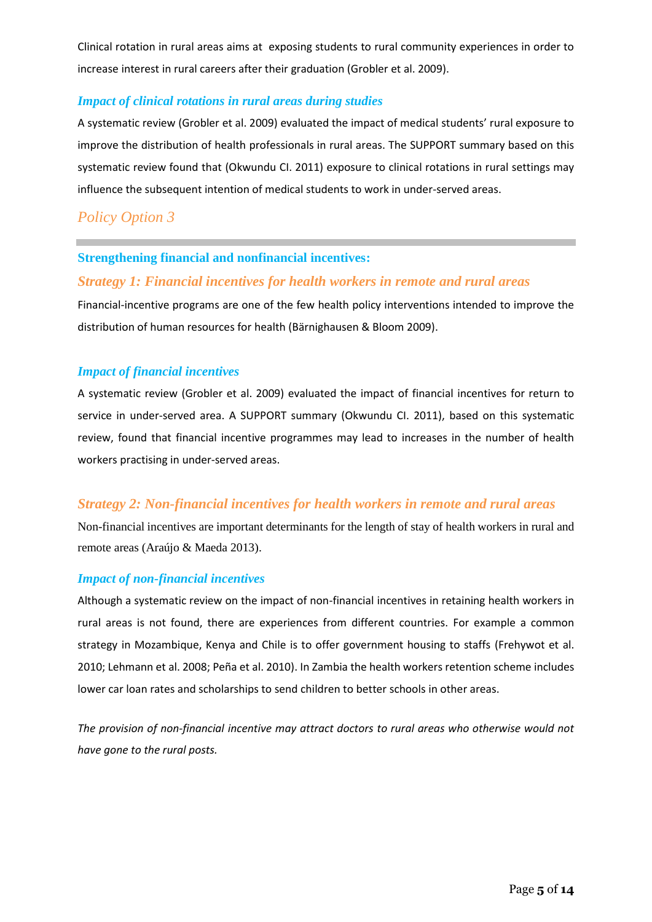Clinical rotation in rural areas aims at exposing students to rural community experiences in order to increase interest in rural careers after their graduation (Grobler et al. 2009).

#### *Impact of clinical rotations in rural areas during studies*

A systematic review (Grobler et al. 2009) evaluated the impact of medical students' rural exposure to improve the distribution of health professionals in rural areas. The SUPPORT summary based on this systematic review found that (Okwundu CI. 2011) exposure to clinical rotations in rural settings may influence the subsequent intention of medical students to work in under-served areas.

### *Policy Option 3*

#### **Strengthening financial and nonfinancial incentives:**

#### *Strategy 1: Financial incentives for health workers in remote and rural areas*

Financial-incentive programs are one of the few health policy interventions intended to improve the distribution of human resources for health (Bärnighausen & Bloom 2009).

#### *Impact of financial incentives*

A systematic review (Grobler et al. 2009) evaluated the impact of financial incentives for return to service in under-served area. A SUPPORT summary (Okwundu CI. 2011), based on this systematic review, found that financial incentive programmes may lead to increases in the number of health workers practising in under-served areas.

#### *Strategy 2: Non-financial incentives for health workers in remote and rural areas*

Non-financial incentives are important determinants for the length of stay of health workers in rural and remote areas (Araújo & Maeda 2013).

#### *Impact of non-financial incentives*

Although a systematic review on the impact of non-financial incentives in retaining health workers in rural areas is not found, there are experiences from different countries. For example a common strategy in Mozambique, Kenya and Chile is to offer government housing to staffs (Frehywot et al. 2010; Lehmann et al. 2008; Peña et al. 2010). In Zambia the health workers retention scheme includes lower car loan rates and scholarships to send children to better schools in other areas.

*The provision of non-financial incentive may attract doctors to rural areas who otherwise would not have gone to the rural posts.*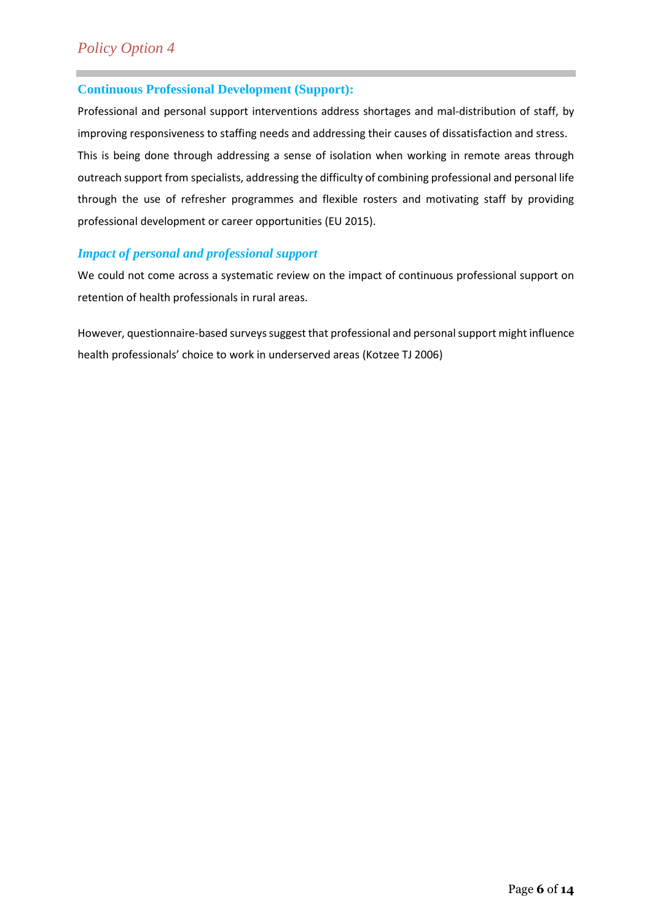#### **Continuous Professional Development (Support):**

Professional and personal support interventions address shortages and mal-distribution of staff, by improving responsiveness to staffing needs and addressing their causes of dissatisfaction and stress.

This is being done through addressing a sense of isolation when working in remote areas through outreach support from specialists, addressing the difficulty of combining professional and personal life through the use of refresher programmes and flexible rosters and motivating staff by providing professional development or career opportunities (EU 2015).

#### *Impact of personal and professional support*

We could not come across a systematic review on the impact of continuous professional support on retention of health professionals in rural areas.

However, questionnaire-based surveys suggest that professional and personal support might influence health professionals' choice to work in underserved areas (Kotzee TJ 2006)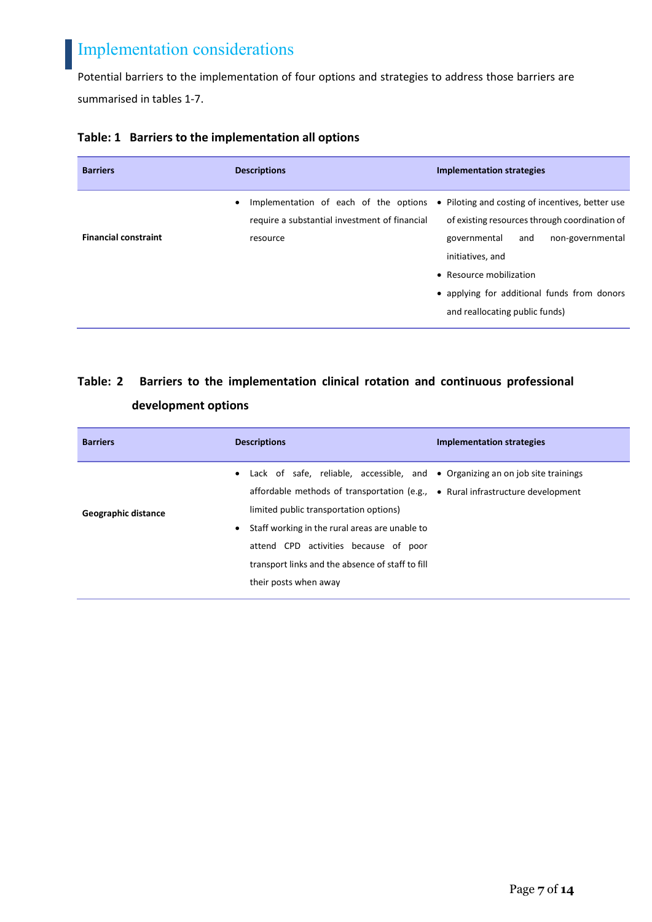## Implementation considerations

Potential barriers to the implementation of four options and strategies to address those barriers are summarised in tables 1-7.

| <b>Barriers</b>             | <b>Descriptions</b>                                                                                             | <b>Implementation strategies</b>                                                                                                                                                                                                                                             |
|-----------------------------|-----------------------------------------------------------------------------------------------------------------|------------------------------------------------------------------------------------------------------------------------------------------------------------------------------------------------------------------------------------------------------------------------------|
| <b>Financial constraint</b> | Implementation of each of the options<br>$\bullet$<br>require a substantial investment of financial<br>resource | • Piloting and costing of incentives, better use<br>of existing resources through coordination of<br>governmental<br>non-governmental<br>and<br>initiatives, and<br>• Resource mobilization<br>• applying for additional funds from donors<br>and reallocating public funds) |

#### **Table: 1 Barriers to the implementation all options**

## **Table: 2 Barriers to the implementation clinical rotation and continuous professional development options**

| <b>Barriers</b>     | <b>Descriptions</b>                                                                                                                                                                                                                                                                                                                                                                                      | <b>Implementation strategies</b> |
|---------------------|----------------------------------------------------------------------------------------------------------------------------------------------------------------------------------------------------------------------------------------------------------------------------------------------------------------------------------------------------------------------------------------------------------|----------------------------------|
| Geographic distance | • Lack of safe, reliable, accessible, and • Organizing an on job site trainings<br>affordable methods of transportation (e.g., $\bullet$ Rural infrastructure development<br>limited public transportation options)<br>Staff working in the rural areas are unable to<br>$\bullet$<br>attend CPD activities because of poor<br>transport links and the absence of staff to fill<br>their posts when away |                                  |
|                     |                                                                                                                                                                                                                                                                                                                                                                                                          |                                  |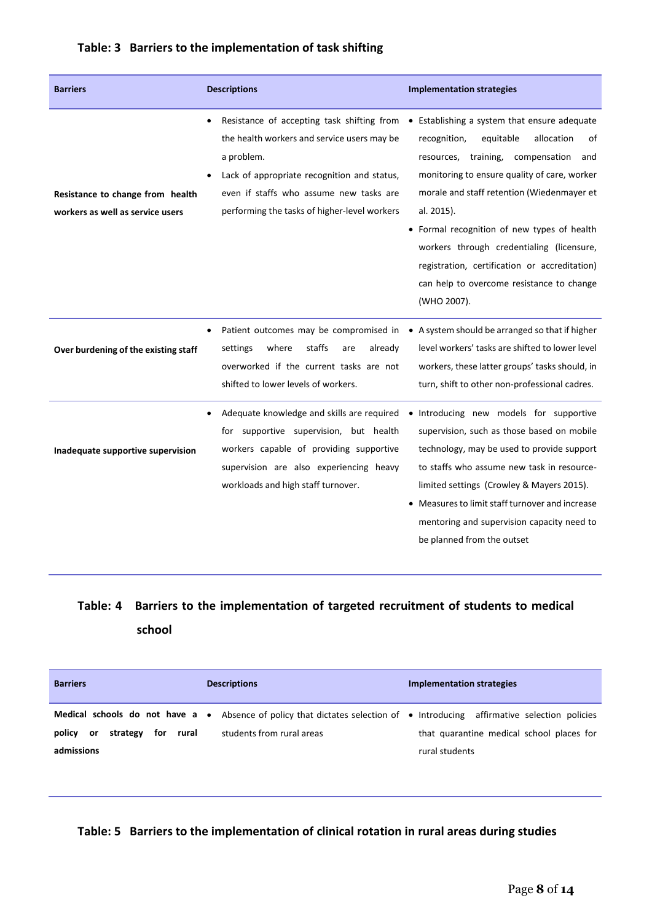|  |  | Table: 3 Barriers to the implementation of task shifting |  |
|--|--|----------------------------------------------------------|--|
|--|--|----------------------------------------------------------|--|

| <b>Barriers</b>                                                      | <b>Descriptions</b>                                                                                                                                                                                                                               | <b>Implementation strategies</b>                                                                                                                                                                                                                                                                                                                                                                                                                               |
|----------------------------------------------------------------------|---------------------------------------------------------------------------------------------------------------------------------------------------------------------------------------------------------------------------------------------------|----------------------------------------------------------------------------------------------------------------------------------------------------------------------------------------------------------------------------------------------------------------------------------------------------------------------------------------------------------------------------------------------------------------------------------------------------------------|
| Resistance to change from health<br>workers as well as service users | Resistance of accepting task shifting from<br>the health workers and service users may be<br>a problem.<br>Lack of appropriate recognition and status,<br>even if staffs who assume new tasks are<br>performing the tasks of higher-level workers | • Establishing a system that ensure adequate<br>equitable<br>allocation<br>recognition,<br>οf<br>resources, training, compensation<br>and<br>monitoring to ensure quality of care, worker<br>morale and staff retention (Wiedenmayer et<br>al. 2015).<br>• Formal recognition of new types of health<br>workers through credentialing (licensure,<br>registration, certification or accreditation)<br>can help to overcome resistance to change<br>(WHO 2007). |
| Over burdening of the existing staff                                 | Patient outcomes may be compromised in<br>staffs<br>settings<br>where<br>already<br>are<br>overworked if the current tasks are not<br>shifted to lower levels of workers.                                                                         | • A system should be arranged so that if higher<br>level workers' tasks are shifted to lower level<br>workers, these latter groups' tasks should, in<br>turn, shift to other non-professional cadres.                                                                                                                                                                                                                                                          |
| Inadequate supportive supervision                                    | Adequate knowledge and skills are required<br>for supportive supervision, but health<br>workers capable of providing supportive<br>supervision are also experiencing heavy<br>workloads and high staff turnover.                                  | · Introducing new models for supportive<br>supervision, such as those based on mobile<br>technology, may be used to provide support<br>to staffs who assume new task in resource-<br>limited settings (Crowley & Mayers 2015).<br>• Measures to limit staff turnover and increase<br>mentoring and supervision capacity need to<br>be planned from the outset                                                                                                  |

### **Table: 4 Barriers to the implementation of targeted recruitment of students to medical school**

| <b>Barriers</b>                                               | <b>Descriptions</b>                                                                                                                                           | Implementation strategies                                   |
|---------------------------------------------------------------|---------------------------------------------------------------------------------------------------------------------------------------------------------------|-------------------------------------------------------------|
| for<br>rural<br>policy<br>strategy<br><b>or</b><br>admissions | <b>Medical schools do not have a</b> • Absence of policy that dictates selection of • Introducing affirmative selection policies<br>students from rural areas | that quarantine medical school places for<br>rural students |

#### **Table: 5 Barriers to the implementation of clinical rotation in rural areas during studies**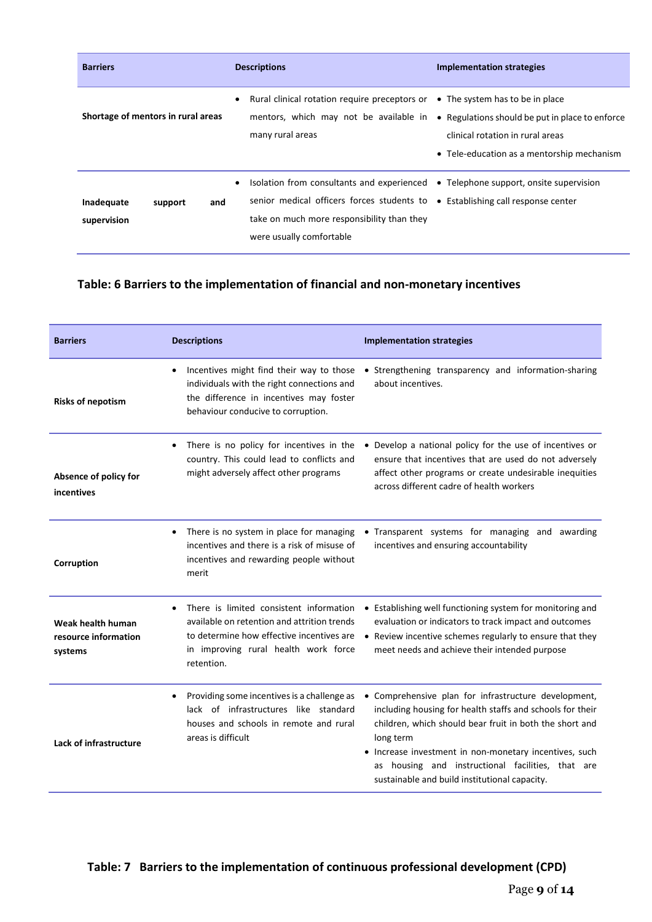| <b>Barriers</b>                             | <b>Descriptions</b>                                                                                                                                                                                                                                    | <b>Implementation strategies</b>                                                                                                  |
|---------------------------------------------|--------------------------------------------------------------------------------------------------------------------------------------------------------------------------------------------------------------------------------------------------------|-----------------------------------------------------------------------------------------------------------------------------------|
| Shortage of mentors in rural areas          | Rural clinical rotation require preceptors or $\bullet$ The system has to be in place<br>$\bullet$<br>mentors, which may not be available in<br>many rural areas                                                                                       | • Regulations should be put in place to enforce<br>clinical rotation in rural areas<br>• Tele-education as a mentorship mechanism |
| and<br>Inadequate<br>support<br>supervision | Isolation from consultants and experienced $\bullet$ Telephone support, onsite supervision<br>senior medical officers forces students to . Establishing call response center<br>take on much more responsibility than they<br>were usually comfortable |                                                                                                                                   |

### **Table: 6 Barriers to the implementation of financial and non-monetary incentives**

| <b>Barriers</b>                                      | <b>Descriptions</b>                                                                                                                                                                                    | <b>Implementation strategies</b>                                                                                                                                                                                                                                                                                                                          |
|------------------------------------------------------|--------------------------------------------------------------------------------------------------------------------------------------------------------------------------------------------------------|-----------------------------------------------------------------------------------------------------------------------------------------------------------------------------------------------------------------------------------------------------------------------------------------------------------------------------------------------------------|
| <b>Risks of nepotism</b>                             | Incentives might find their way to those<br>individuals with the right connections and<br>the difference in incentives may foster<br>behaviour conducive to corruption.                                | • Strengthening transparency and information-sharing<br>about incentives.                                                                                                                                                                                                                                                                                 |
| Absence of policy for<br>incentives                  | There is no policy for incentives in the<br>country. This could lead to conflicts and<br>might adversely affect other programs                                                                         | • Develop a national policy for the use of incentives or<br>ensure that incentives that are used do not adversely<br>affect other programs or create undesirable inequities<br>across different cadre of health workers                                                                                                                                   |
| Corruption                                           | There is no system in place for managing<br>$\bullet$<br>incentives and there is a risk of misuse of<br>incentives and rewarding people without<br>merit                                               | • Transparent systems for managing and awarding<br>incentives and ensuring accountability                                                                                                                                                                                                                                                                 |
| Weak health human<br>resource information<br>systems | There is limited consistent information<br>$\bullet$<br>available on retention and attrition trends<br>to determine how effective incentives are<br>in improving rural health work force<br>retention. | • Establishing well functioning system for monitoring and<br>evaluation or indicators to track impact and outcomes<br>• Review incentive schemes regularly to ensure that they<br>meet needs and achieve their intended purpose                                                                                                                           |
| Lack of infrastructure                               | Providing some incentives is a challenge as<br>$\bullet$<br>lack of infrastructures like standard<br>houses and schools in remote and rural<br>areas is difficult                                      | • Comprehensive plan for infrastructure development,<br>including housing for health staffs and schools for their<br>children, which should bear fruit in both the short and<br>long term<br>• Increase investment in non-monetary incentives, such<br>as housing and instructional facilities, that are<br>sustainable and build institutional capacity. |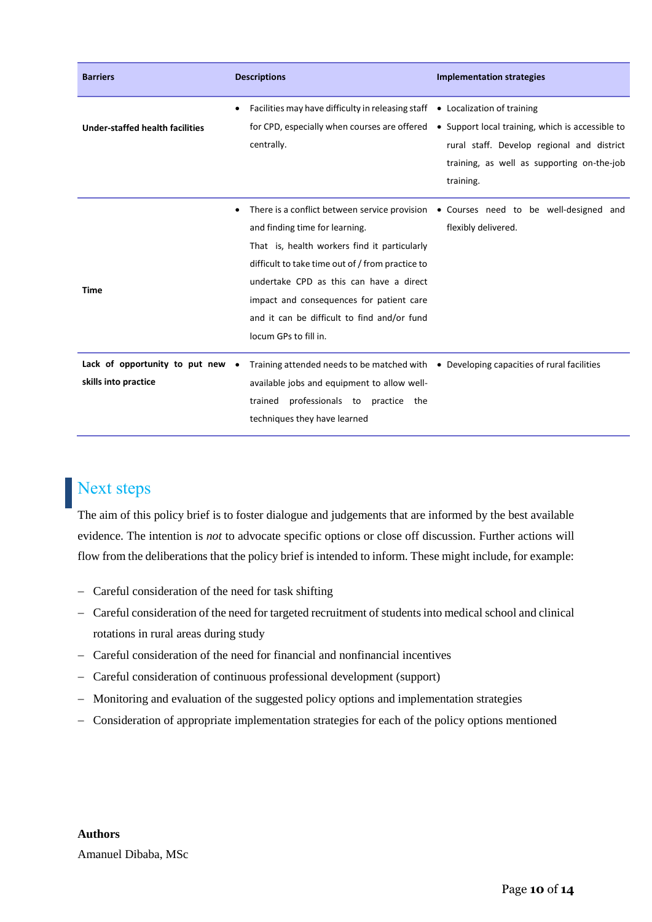| <b>Barriers</b>                                          | <b>Descriptions</b>                                                                                                                                                                                                                                                                                            | <b>Implementation strategies</b>                                                                                                                                                        |
|----------------------------------------------------------|----------------------------------------------------------------------------------------------------------------------------------------------------------------------------------------------------------------------------------------------------------------------------------------------------------------|-----------------------------------------------------------------------------------------------------------------------------------------------------------------------------------------|
| <b>Under-staffed health facilities</b>                   | Facilities may have difficulty in releasing staff<br>for CPD, especially when courses are offered<br>centrally.                                                                                                                                                                                                | • Localization of training<br>• Support local training, which is accessible to<br>rural staff. Develop regional and district<br>training, as well as supporting on-the-job<br>training. |
| <b>Time</b>                                              | $\bullet$<br>and finding time for learning.<br>That is, health workers find it particularly<br>difficult to take time out of / from practice to<br>undertake CPD as this can have a direct<br>impact and consequences for patient care<br>and it can be difficult to find and/or fund<br>locum GPs to fill in. | There is a conflict between service provision $\bullet$ Courses need to be well-designed and<br>flexibly delivered.                                                                     |
| Lack of opportunity to put new .<br>skills into practice | Training attended needs to be matched with • Developing capacities of rural facilities<br>available jobs and equipment to allow well-<br>professionals to practice the<br>trained<br>techniques they have learned                                                                                              |                                                                                                                                                                                         |

## Next steps

The aim of this policy brief is to foster dialogue and judgements that are informed by the best available evidence. The intention is *not* to advocate specific options or close off discussion. Further actions will flow from the deliberations that the policy brief is intended to inform. These might include, for example:

- Careful consideration of the need for task shifting
- Careful consideration of the need for targeted recruitment of students into medical school and clinical rotations in rural areas during study
- Careful consideration of the need for financial and nonfinancial incentives
- Careful consideration of continuous professional development (support)
- Monitoring and evaluation of the suggested policy options and implementation strategies
- Consideration of appropriate implementation strategies for each of the policy options mentioned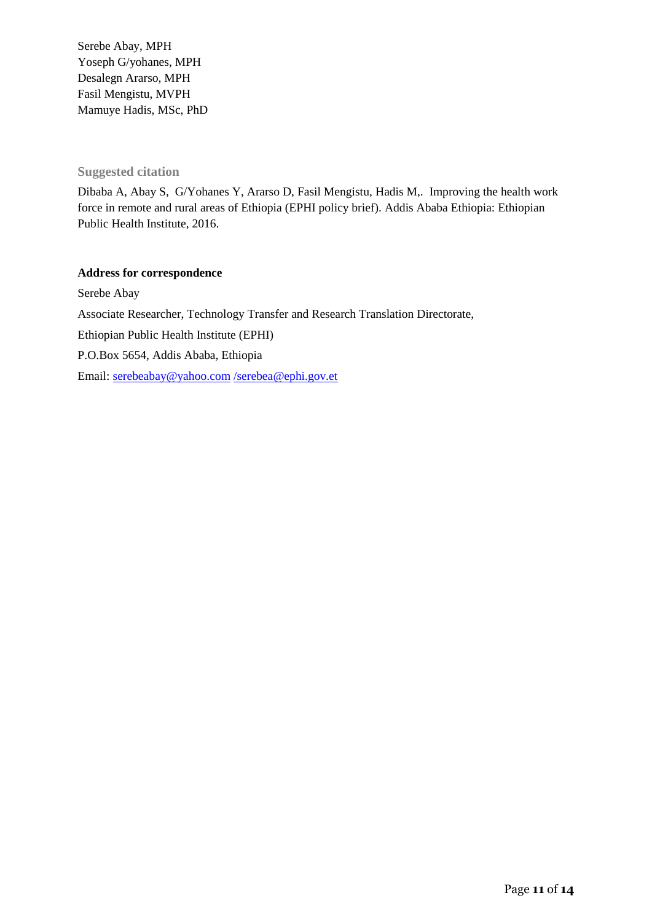Serebe Abay, MPH Yoseph G/yohanes, MPH Desalegn Ararso, MPH Fasil Mengistu, MVPH Mamuye Hadis, MSc, PhD

#### **Suggested citation**

Dibaba A, Abay S, G/Yohanes Y, Ararso D, Fasil Mengistu, Hadis M,. Improving the health work force in remote and rural areas of Ethiopia (EPHI policy brief). Addis Ababa Ethiopia: Ethiopian Public Health Institute, 2016.

#### **Address for correspondence**

Serebe Abay Associate Researcher, Technology Transfer and Research Translation Directorate, Ethiopian Public Health Institute (EPHI) P.O.Box 5654, Addis Ababa, Ethiopia Email: [serebeabay@yahoo.com](mailto:serebeabay@yahoo.com) [/serebea@ephi.gov.et](mailto:/serebea@ephi.gov.et)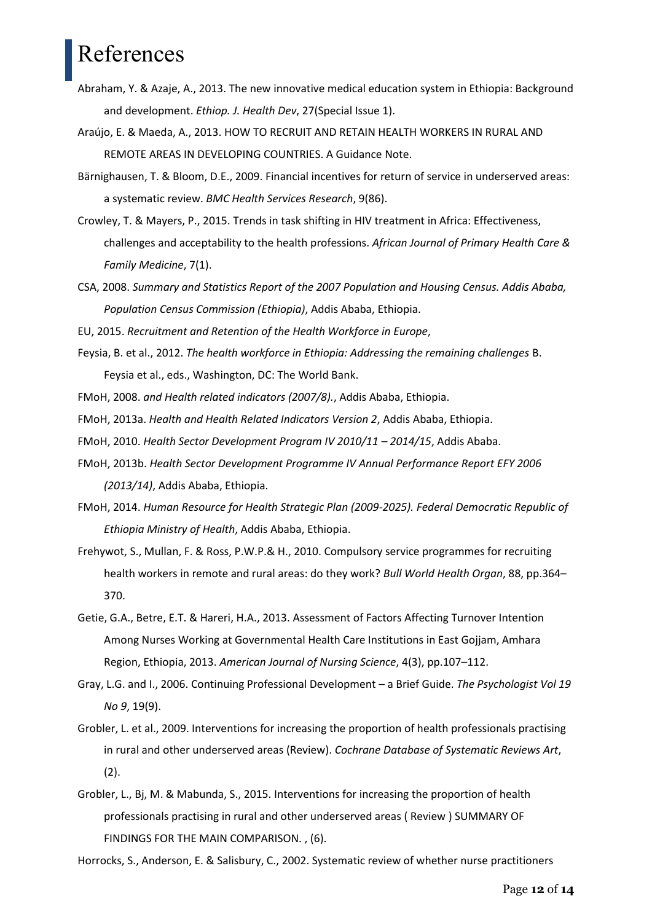# References

- Abraham, Y. & Azaje, A., 2013. The new innovative medical education system in Ethiopia: Background and development. *Ethiop. J. Health Dev*, 27(Special Issue 1).
- Araújo, E. & Maeda, A., 2013. HOW TO RECRUIT AND RETAIN HEALTH WORKERS IN RURAL AND REMOTE AREAS IN DEVELOPING COUNTRIES. A Guidance Note.
- Bärnighausen, T. & Bloom, D.E., 2009. Financial incentives for return of service in underserved areas: a systematic review. *BMC Health Services Research*, 9(86).
- Crowley, T. & Mayers, P., 2015. Trends in task shifting in HIV treatment in Africa: Effectiveness, challenges and acceptability to the health professions. *African Journal of Primary Health Care & Family Medicine*, 7(1).
- CSA, 2008. *Summary and Statistics Report of the 2007 Population and Housing Census. Addis Ababa, Population Census Commission (Ethiopia)*, Addis Ababa, Ethiopia.
- EU, 2015. *Recruitment and Retention of the Health Workforce in Europe*,
- Feysia, B. et al., 2012. *The health workforce in Ethiopia: Addressing the remaining challenges* B. Feysia et al., eds., Washington, DC: The World Bank.
- FMoH, 2008. *and Health related indicators (2007/8).*, Addis Ababa, Ethiopia.
- FMoH, 2013a. *Health and Health Related Indicators Version 2*, Addis Ababa, Ethiopia.
- FMoH, 2010. *Health Sector Development Program IV 2010/11 – 2014/15*, Addis Ababa.
- FMoH, 2013b. *Health Sector Development Programme IV Annual Performance Report EFY 2006 (2013/14)*, Addis Ababa, Ethiopia.
- FMoH, 2014. *Human Resource for Health Strategic Plan (2009-2025). Federal Democratic Republic of Ethiopia Ministry of Health*, Addis Ababa, Ethiopia.
- Frehywot, S., Mullan, F. & Ross, P.W.P.& H., 2010. Compulsory service programmes for recruiting health workers in remote and rural areas: do they work? *Bull World Health Organ*, 88, pp.364– 370.
- Getie, G.A., Betre, E.T. & Hareri, H.A., 2013. Assessment of Factors Affecting Turnover Intention Among Nurses Working at Governmental Health Care Institutions in East Gojjam, Amhara Region, Ethiopia, 2013. *American Journal of Nursing Science*, 4(3), pp.107–112.
- Gray, L.G. and I., 2006. Continuing Professional Development a Brief Guide. *The Psychologist Vol 19 No 9*, 19(9).
- Grobler, L. et al., 2009. Interventions for increasing the proportion of health professionals practising in rural and other underserved areas (Review). *Cochrane Database of Systematic Reviews Art*, (2).
- Grobler, L., Bj, M. & Mabunda, S., 2015. Interventions for increasing the proportion of health professionals practising in rural and other underserved areas ( Review ) SUMMARY OF FINDINGS FOR THE MAIN COMPARISON. , (6).

Horrocks, S., Anderson, E. & Salisbury, C., 2002. Systematic review of whether nurse practitioners